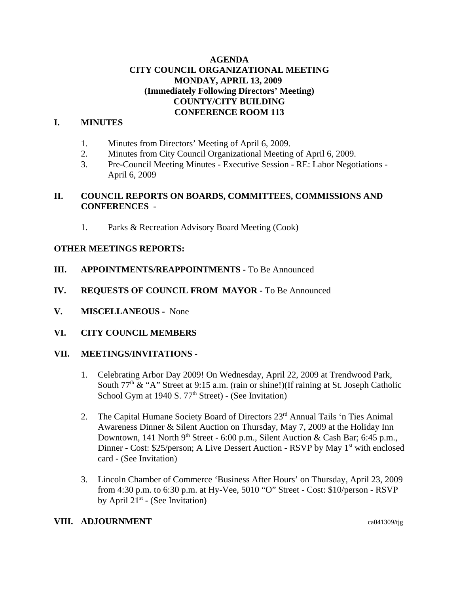## **AGENDA CITY COUNCIL ORGANIZATIONAL MEETING MONDAY, APRIL 13, 2009 (Immediately Following Directors' Meeting) COUNTY/CITY BUILDING CONFERENCE ROOM 113**

# **I. MINUTES**

- 1. Minutes from Directors' Meeting of April 6, 2009.
- 2. Minutes from City Council Organizational Meeting of April 6, 2009.
- 3. Pre-Council Meeting Minutes Executive Session RE: Labor Negotiations April 6, 2009

## **II. COUNCIL REPORTS ON BOARDS, COMMITTEES, COMMISSIONS AND CONFERENCES** -

1. Parks & Recreation Advisory Board Meeting (Cook)

#### **OTHER MEETINGS REPORTS:**

- **III. APPOINTMENTS/REAPPOINTMENTS -** To Be Announced
- **IV. REQUESTS OF COUNCIL FROM MAYOR -** To Be Announced
- **V. MISCELLANEOUS -** None
- **VI. CITY COUNCIL MEMBERS**

#### **VII. MEETINGS/INVITATIONS -**

- 1. Celebrating Arbor Day 2009! On Wednesday, April 22, 2009 at Trendwood Park, South  $77<sup>th</sup>$  & "A" Street at 9:15 a.m. (rain or shine!)(If raining at St. Joseph Catholic School Gym at 1940 S.  $77<sup>th</sup>$  Street) - (See Invitation)
- 2. The Capital Humane Society Board of Directors 23<sup>rd</sup> Annual Tails 'n Ties Animal Awareness Dinner & Silent Auction on Thursday, May 7, 2009 at the Holiday Inn Downtown, 141 North 9<sup>th</sup> Street - 6:00 p.m., Silent Auction & Cash Bar; 6:45 p.m., Dinner - Cost: \$25/person; A Live Dessert Auction - RSVP by May 1<sup>st</sup> with enclosed card - (See Invitation)
- 3. Lincoln Chamber of Commerce 'Business After Hours' on Thursday, April 23, 2009 from 4:30 p.m. to 6:30 p.m. at Hy-Vee, 5010 "O" Street - Cost: \$10/person - RSVP by April  $21^{st}$  - (See Invitation)

#### **VIII. ADJOURNMENT** ca041309/tjg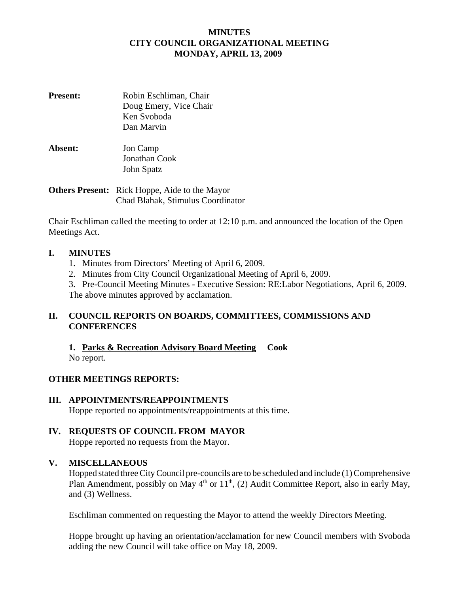## **MINUTES CITY COUNCIL ORGANIZATIONAL MEETING MONDAY, APRIL 13, 2009**

- **Present:** Robin Eschliman, Chair Doug Emery, Vice Chair Ken Svoboda Dan Marvin
- **Absent:** Jon Camp Jonathan Cook John Spatz

# **Others Present:** Rick Hoppe, Aide to the Mayor Chad Blahak, Stimulus Coordinator

Chair Eschliman called the meeting to order at 12:10 p.m. and announced the location of the Open Meetings Act.

# **I. MINUTES**

- 1. Minutes from Directors' Meeting of April 6, 2009.
- 2. Minutes from City Council Organizational Meeting of April 6, 2009.
- 3. Pre-Council Meeting Minutes Executive Session: RE:Labor Negotiations, April 6, 2009. The above minutes approved by acclamation.

# **II. COUNCIL REPORTS ON BOARDS, COMMITTEES, COMMISSIONS AND CONFERENCES**

**1. Parks & Recreation Advisory Board Meeting Cook** No report.

# **OTHER MEETINGS REPORTS:**

**III. APPOINTMENTS/REAPPOINTMENTS** Hoppe reported no appointments/reappointments at this time.

# **IV. REQUESTS OF COUNCIL FROM MAYOR**

Hoppe reported no requests from the Mayor.

# **V. MISCELLANEOUS**

Hopped stated three City Council pre-councils are to be scheduled and include (1) Comprehensive Plan Amendment, possibly on May  $4<sup>th</sup>$  or  $11<sup>th</sup>$ , (2) Audit Committee Report, also in early May, and (3) Wellness.

Eschliman commented on requesting the Mayor to attend the weekly Directors Meeting.

Hoppe brought up having an orientation/acclamation for new Council members with Svoboda adding the new Council will take office on May 18, 2009.